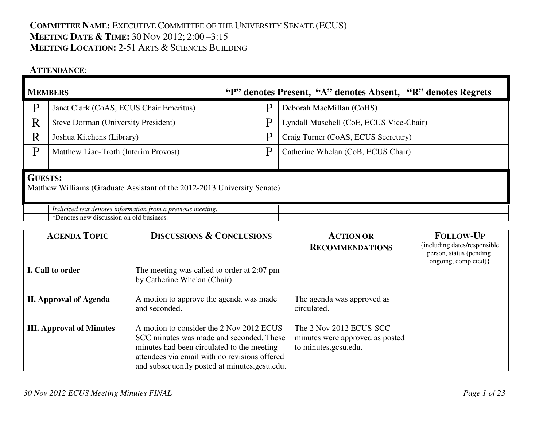# **COMMITTEE NAME:** <sup>E</sup>XECUTIVE COMMITTEE OF THE UNIVERSITY SENATE (ECUS) **MEETING DATE & <sup>T</sup>IME:** <sup>30</sup> <sup>N</sup>OV 2012; 2:00 –3:15 **MEETING LOCATION:** 2-51 <sup>A</sup>RTS & <sup>S</sup>CIENCES BUILDING

#### **ATTENDANCE**:

|                                                                                            | <b>MEMBERS</b><br>"P" denotes Present, "A" denotes Absent, "R" denotes Regrets                           |   |                                         |  |
|--------------------------------------------------------------------------------------------|----------------------------------------------------------------------------------------------------------|---|-----------------------------------------|--|
| P                                                                                          | Janet Clark (CoAS, ECUS Chair Emeritus)                                                                  |   | Deborah MacMillan (CoHS)                |  |
| R                                                                                          | <b>Steve Dorman (University President)</b>                                                               | P | Lyndall Muschell (CoE, ECUS Vice-Chair) |  |
| R                                                                                          | Joshua Kitchens (Library)                                                                                | P | Craig Turner (CoAS, ECUS Secretary)     |  |
| P                                                                                          | Matthew Liao-Troth (Interim Provost)                                                                     | P | Catherine Whelan (CoB, ECUS Chair)      |  |
|                                                                                            |                                                                                                          |   |                                         |  |
| <b>GUESTS:</b><br>Matthew Williams (Graduate Assistant of the 2012-2013 University Senate) |                                                                                                          |   |                                         |  |
|                                                                                            | Italicized text denotes information from a previous meeting.<br>*Denotes new discussion on old business. |   |                                         |  |

| <b>AGENDA TOPIC</b>             | <b>DISCUSSIONS &amp; CONCLUSIONS</b>                                                                                                                                                                                                 | <b>ACTION OR</b><br><b>RECOMMENDATIONS</b>                                         | <b>FOLLOW-UP</b><br>including dates/responsible<br>person, status (pending,<br>ongoing, completed) } |
|---------------------------------|--------------------------------------------------------------------------------------------------------------------------------------------------------------------------------------------------------------------------------------|------------------------------------------------------------------------------------|------------------------------------------------------------------------------------------------------|
| I. Call to order                | The meeting was called to order at 2:07 pm<br>by Catherine Whelan (Chair).                                                                                                                                                           |                                                                                    |                                                                                                      |
| <b>II. Approval of Agenda</b>   | A motion to approve the agenda was made<br>and seconded.                                                                                                                                                                             | The agenda was approved as<br>circulated.                                          |                                                                                                      |
| <b>III.</b> Approval of Minutes | A motion to consider the 2 Nov 2012 ECUS-<br>SCC minutes was made and seconded. These<br>minutes had been circulated to the meeting<br>attendees via email with no revisions offered<br>and subsequently posted at minutes.gcsu.edu. | The 2 Nov 2012 ECUS-SCC<br>minutes were approved as posted<br>to minutes.gcsu.edu. |                                                                                                      |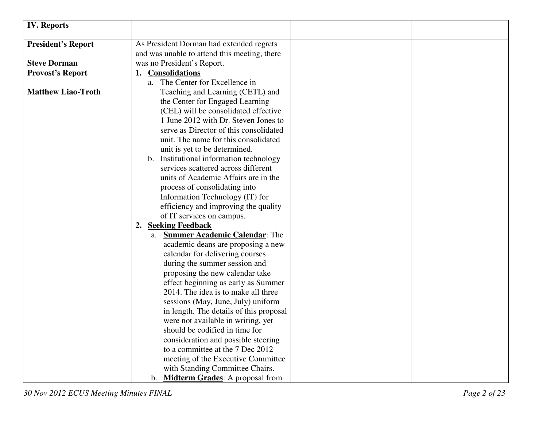| <b>IV. Reports</b>        |                                              |
|---------------------------|----------------------------------------------|
| <b>President's Report</b> | As President Dorman had extended regrets     |
|                           | and was unable to attend this meeting, there |
| <b>Steve Dorman</b>       | was no President's Report.                   |
| <b>Provost's Report</b>   | <b>Consolidations</b>                        |
|                           | a. The Center for Excellence in              |
| <b>Matthew Liao-Troth</b> | Teaching and Learning (CETL) and             |
|                           | the Center for Engaged Learning              |
|                           | (CEL) will be consolidated effective         |
|                           | 1 June 2012 with Dr. Steven Jones to         |
|                           | serve as Director of this consolidated       |
|                           | unit. The name for this consolidated         |
|                           | unit is yet to be determined.                |
|                           | b. Institutional information technology      |
|                           | services scattered across different          |
|                           | units of Academic Affairs are in the         |
|                           | process of consolidating into                |
|                           | Information Technology (IT) for              |
|                           | efficiency and improving the quality         |
|                           | of IT services on campus.                    |
|                           | <b>Seeking Feedback</b><br>2.                |
|                           | a. Summer Academic Calendar: The             |
|                           | academic deans are proposing a new           |
|                           | calendar for delivering courses              |
|                           | during the summer session and                |
|                           | proposing the new calendar take              |
|                           | effect beginning as early as Summer          |
|                           | 2014. The idea is to make all three          |
|                           | sessions (May, June, July) uniform           |
|                           | in length. The details of this proposal      |
|                           | were not available in writing, yet           |
|                           | should be codified in time for               |
|                           | consideration and possible steering          |
|                           | to a committee at the 7 Dec 2012             |
|                           | meeting of the Executive Committee           |
|                           | with Standing Committee Chairs.              |
|                           | b. Midterm Grades: A proposal from           |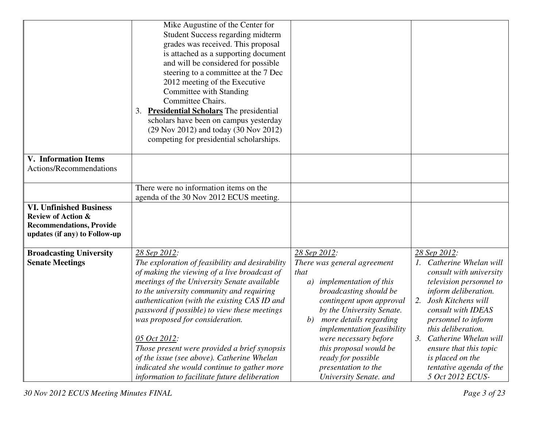|                                 | Mike Augustine of the Center for                |                                     |                             |
|---------------------------------|-------------------------------------------------|-------------------------------------|-----------------------------|
|                                 | <b>Student Success regarding midterm</b>        |                                     |                             |
|                                 | grades was received. This proposal              |                                     |                             |
|                                 | is attached as a supporting document            |                                     |                             |
|                                 |                                                 |                                     |                             |
|                                 | and will be considered for possible             |                                     |                             |
|                                 | steering to a committee at the 7 Dec            |                                     |                             |
|                                 | 2012 meeting of the Executive                   |                                     |                             |
|                                 | Committee with Standing                         |                                     |                             |
|                                 | Committee Chairs.                               |                                     |                             |
|                                 | 3. Presidential Scholars The presidential       |                                     |                             |
|                                 | scholars have been on campus yesterday          |                                     |                             |
|                                 | (29 Nov 2012) and today (30 Nov 2012)           |                                     |                             |
|                                 | competing for presidential scholarships.        |                                     |                             |
| <b>V.</b> Information Items     |                                                 |                                     |                             |
| Actions/Recommendations         |                                                 |                                     |                             |
|                                 |                                                 |                                     |                             |
|                                 | There were no information items on the          |                                     |                             |
|                                 | agenda of the 30 Nov 2012 ECUS meeting.         |                                     |                             |
| <b>VI. Unfinished Business</b>  |                                                 |                                     |                             |
| <b>Review of Action &amp;</b>   |                                                 |                                     |                             |
| <b>Recommendations, Provide</b> |                                                 |                                     |                             |
| updates (if any) to Follow-up   |                                                 |                                     |                             |
|                                 |                                                 |                                     |                             |
| <b>Broadcasting University</b>  | 28 Sep 2012:                                    | 28 Sep 2012:                        | 28 Sep 2012:                |
| <b>Senate Meetings</b>          | The exploration of feasibility and desirability | There was general agreement         | 1. Catherine Whelan will    |
|                                 | of making the viewing of a live broadcast of    | that                                | consult with university     |
|                                 | meetings of the University Senate available     | <i>implementation of this</i><br>a) | television personnel to     |
|                                 | to the university community and requiring       | broadcasting should be              | inform deliberation.        |
|                                 | authentication (with the existing CAS ID and    | contingent upon approval            | Josh Kitchens will<br>2.    |
|                                 | password if possible) to view these meetings    | by the University Senate.           | consult with IDEAS          |
|                                 | was proposed for consideration.                 | more details regarding<br>b)        | personnel to inform         |
|                                 |                                                 | implementation feasibility          | this deliberation.          |
|                                 | 05 Oct 2012:                                    | were necessary before               | Catherine Whelan will<br>3. |
|                                 | Those present were provided a brief synopsis    | this proposal would be              | ensure that this topic      |
|                                 | of the issue (see above). Catherine Whelan      | ready for possible                  | is placed on the            |
|                                 | indicated she would continue to gather more     | presentation to the                 | tentative agenda of the     |
|                                 | information to facilitate future deliberation   | University Senate. and              | 5 Oct 2012 ECUS-            |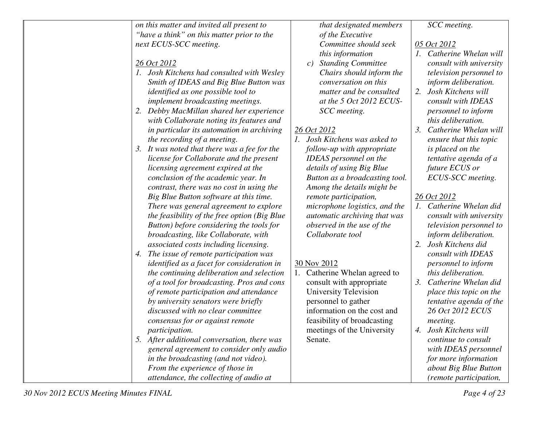| on this matter and invited all present to       | that designated members             | SCC meeting.                             |
|-------------------------------------------------|-------------------------------------|------------------------------------------|
| "have a think" on this matter prior to the      | of the Executive                    |                                          |
| next ECUS-SCC meeting.                          | Committee should seek               | 05 Oct 2012                              |
|                                                 | this information                    | 1. Catherine Whelan will                 |
| 26 Oct 2012                                     | <b>Standing Committee</b><br>c)     | consult with university                  |
| 1. Josh Kitchens had consulted with Wesley      | Chairs should inform the            | television personnel to                  |
| Smith of IDEAS and Big Blue Button was          | conversation on this                | inform deliberation.                     |
| <i>identified as one possible tool to</i>       | matter and be consulted             | Josh Kitchens will<br>2.                 |
| implement broadcasting meetings.                | at the 5 Oct 2012 ECUS-             | consult with IDEAS                       |
| Debby MacMillan shared her experience<br>2.     | SCC meeting.                        | personnel to inform                      |
| with Collaborate noting its features and        |                                     | this deliberation.                       |
| in particular its automation in archiving       | 26 Oct 2012                         | Catherine Whelan will<br>3.              |
| the recording of a meeting.                     | 1. Josh Kitchens was asked to       | ensure that this topic                   |
| It was noted that there was a fee for the<br>3. | follow-up with appropriate          | is placed on the                         |
| license for Collaborate and the present         | <b>IDEAS</b> personnel on the       | tentative agenda of a                    |
| licensing agreement expired at the              | details of using Big Blue           | future ECUS or                           |
| conclusion of the academic year. In             | Button as a broadcasting tool.      | ECUS-SCC meeting.                        |
| contrast, there was no cost in using the        | Among the details might be          |                                          |
| Big Blue Button software at this time.          | remote participation,               | 26 Oct 2012                              |
| There was general agreement to explore          | microphone logistics, and the       | 1. Catherine Whelan did                  |
| the feasibility of the free option (Big Blue    | <i>automatic archiving that was</i> | consult with university                  |
| Button) before considering the tools for        | observed in the use of the          | television personnel to                  |
| broadcasting, like Collaborate, with            | Collaborate tool                    | inform deliberation.                     |
| associated costs including licensing.           |                                     | Josh Kitchens did<br>2.                  |
| The issue of remote participation was<br>4.     |                                     | consult with IDEAS                       |
| identified as a facet for consideration in      | 30 Nov 2012                         | personnel to inform                      |
| the continuing deliberation and selection       | 1. Catherine Whelan agreed to       | this deliberation.                       |
| of a tool for broadcasting. Pros and cons       | consult with appropriate            | $\mathfrak{Z}$ .<br>Catherine Whelan did |
| of remote participation and attendance          | University Television               | place this topic on the                  |
| by university senators were briefly             | personnel to gather                 | tentative agenda of the                  |
| discussed with no clear committee               | information on the cost and         | 26 Oct 2012 ECUS                         |
| consensus for or against remote                 | feasibility of broadcasting         | meeting.                                 |
| <i>participation.</i>                           | meetings of the University          | 4. Josh Kitchens will                    |
| 5. After additional conversation, there was     | Senate.                             | continue to consult                      |
| general agreement to consider only audio        |                                     | with IDEAS personnel                     |
| in the broadcasting (and not video).            |                                     | for more information                     |
| From the experience of those in                 |                                     | about Big Blue Button                    |
| attendance, the collecting of audio at          |                                     | (remote participation,                   |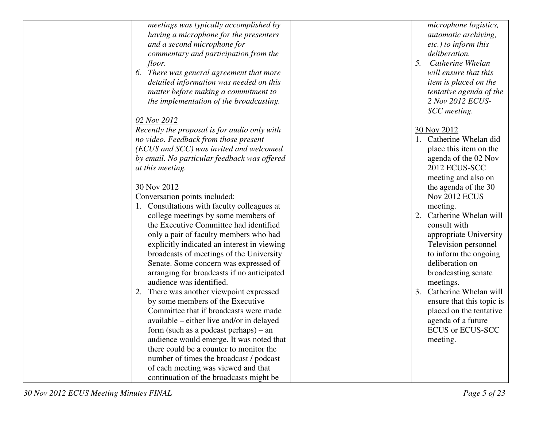| meetings was typically accomplished by       | microphone logistics,       |
|----------------------------------------------|-----------------------------|
| having a microphone for the presenters       | <i>automatic archiving,</i> |
| and a second microphone for                  | etc.) to inform this        |
| commentary and participation from the        | deliberation.               |
| floor.                                       | 5.<br>Catherine Whelan      |
| 6. There was general agreement that more     | will ensure that this       |
| detailed information was needed on this      | item is placed on the       |
| matter before making a commitment to         | tentative agenda of the     |
| the implementation of the broadcasting.      | 2 Nov 2012 ECUS-            |
|                                              | SCC meeting.                |
| 02 Nov 2012                                  |                             |
| Recently the proposal is for audio only with | 30 Nov 2012                 |
| no video. Feedback from those present        | 1. Catherine Whelan did     |
| (ECUS and SCC) was invited and welcomed      | place this item on the      |
| by email. No particular feedback was offered | agenda of the 02 Nov        |
| at this meeting.                             | 2012 ECUS-SCC               |
|                                              | meeting and also on         |
| 30 Nov 2012                                  | the agenda of the 30        |
| Conversation points included:                | Nov 2012 ECUS               |
| 1. Consultations with faculty colleagues at  | meeting.                    |
| college meetings by some members of          | 2. Catherine Whelan will    |
| the Executive Committee had identified       | consult with                |
| only a pair of faculty members who had       | appropriate University      |
| explicitly indicated an interest in viewing  | Television personnel        |
| broadcasts of meetings of the University     | to inform the ongoing       |
| Senate. Some concern was expressed of        | deliberation on             |
| arranging for broadcasts if no anticipated   | broadcasting senate         |
| audience was identified.                     | meetings.                   |
| 2. There was another viewpoint expressed     | 3. Catherine Whelan will    |
| by some members of the Executive             | ensure that this topic is   |
| Committee that if broadcasts were made       | placed on the tentative     |
| available – either live and/or in delayed    | agenda of a future          |
| form (such as a podcast perhaps) $-$ an      | <b>ECUS or ECUS-SCC</b>     |
| audience would emerge. It was noted that     | meeting.                    |
| there could be a counter to monitor the      |                             |
| number of times the broadcast / podcast      |                             |
| of each meeting was viewed and that          |                             |
| continuation of the broadcasts might be      |                             |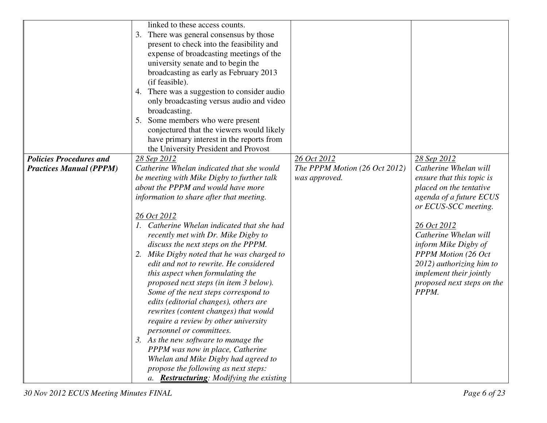|                                | linked to these access counts.                   |                               |                                |
|--------------------------------|--------------------------------------------------|-------------------------------|--------------------------------|
|                                | 3. There was general consensus by those          |                               |                                |
|                                | present to check into the feasibility and        |                               |                                |
|                                | expense of broadcasting meetings of the          |                               |                                |
|                                | university senate and to begin the               |                               |                                |
|                                |                                                  |                               |                                |
|                                | broadcasting as early as February 2013           |                               |                                |
|                                | (if feasible).                                   |                               |                                |
|                                | 4. There was a suggestion to consider audio      |                               |                                |
|                                | only broadcasting versus audio and video         |                               |                                |
|                                | broadcasting.                                    |                               |                                |
|                                | 5. Some members who were present                 |                               |                                |
|                                | conjectured that the viewers would likely        |                               |                                |
|                                | have primary interest in the reports from        |                               |                                |
|                                | the University President and Provost             |                               |                                |
| <b>Policies Procedures and</b> | 28 Sep 2012                                      | 26 Oct 2012                   | 28 Sep 2012                    |
| <b>Practices Manual (PPPM)</b> | Catherine Whelan indicated that she would        | The PPPM Motion (26 Oct 2012) | Catherine Whelan will          |
|                                | be meeting with Mike Digby to further talk       | was approved.                 | ensure that this topic is      |
|                                | about the PPPM and would have more               |                               | placed on the tentative        |
|                                | information to share after that meeting.         |                               | agenda of a future ECUS        |
|                                |                                                  |                               | or ECUS-SCC meeting.           |
|                                |                                                  |                               |                                |
|                                | 26 Oct 2012                                      |                               |                                |
|                                | 1. Catherine Whelan indicated that she had       |                               | 26 Oct 2012                    |
|                                | recently met with Dr. Mike Digby to              |                               | Catherine Whelan will          |
|                                | discuss the next steps on the PPPM.              |                               | inform Mike Digby of           |
|                                | 2. Mike Digby noted that he was charged to       |                               | <b>PPPM Motion (26 Oct</b>     |
|                                | edit and not to rewrite. He considered           |                               | 2012) authorizing him to       |
|                                | this aspect when formulating the                 |                               | <i>implement their jointly</i> |
|                                | proposed next steps (in item 3 below).           |                               | proposed next steps on the     |
|                                | Some of the next steps correspond to             |                               | PPPM.                          |
|                                | edits (editorial changes), others are            |                               |                                |
|                                | rewrites (content changes) that would            |                               |                                |
|                                | require a review by other university             |                               |                                |
|                                | personnel or committees.                         |                               |                                |
|                                | 3. As the new software to manage the             |                               |                                |
|                                | PPPM was now in place, Catherine                 |                               |                                |
|                                | Whelan and Mike Digby had agreed to              |                               |                                |
|                                | propose the following as next steps:             |                               |                                |
|                                |                                                  |                               |                                |
|                                | a. <b>Restructuring</b> : Modifying the existing |                               |                                |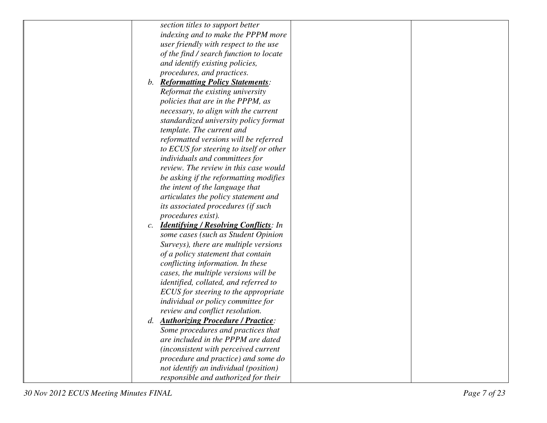| section titles to support better                                |  |
|-----------------------------------------------------------------|--|
| indexing and to make the PPPM more                              |  |
| user friendly with respect to the use                           |  |
| of the find / search function to locate                         |  |
| and identify existing policies,                                 |  |
| procedures, and practices.                                      |  |
| b. Reformatting Policy Statements:                              |  |
| Reformat the existing university                                |  |
| policies that are in the PPPM, as                               |  |
| necessary, to align with the current                            |  |
| standardized university policy format                           |  |
| template. The current and                                       |  |
| reformatted versions will be referred                           |  |
| to ECUS for steering to itself or other                         |  |
| individuals and committees for                                  |  |
| review. The review in this case would                           |  |
| be asking if the reformatting modifies                          |  |
| the intent of the language that                                 |  |
| articulates the policy statement and                            |  |
| its associated procedures (if such                              |  |
| procedures exist).                                              |  |
| <b>Identifying / Resolving Conflicts:</b> In<br>$\mathcal{C}$ . |  |
| some cases (such as Student Opinion                             |  |
| Surveys), there are multiple versions                           |  |
| of a policy statement that contain                              |  |
| conflicting information. In these                               |  |
| cases, the multiple versions will be                            |  |
| <i>identified, collated, and referred to</i>                    |  |
| ECUS for steering to the appropriate                            |  |
| individual or policy committee for                              |  |
| review and conflict resolution.                                 |  |
| d. Authorizing Procedure / Practice:                            |  |
| Some procedures and practices that                              |  |
| are included in the PPPM are dated                              |  |
| (inconsistent with perceived current                            |  |
| procedure and practice) and some do                             |  |
| not identify an individual (position)                           |  |
| responsible and authorized for their                            |  |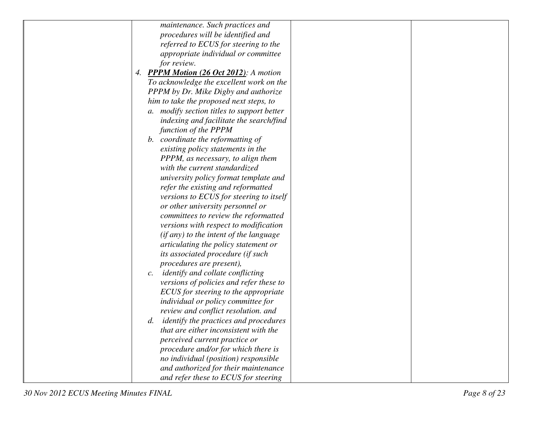| maintenance. Such practices and                            |
|------------------------------------------------------------|
| procedures will be identified and                          |
| referred to ECUS for steering to the                       |
| appropriate individual or committee                        |
| for review.                                                |
| 4. PPPM Motion (26 Oct 2012): A motion                     |
| To acknowledge the excellent work on the                   |
| PPPM by Dr. Mike Digby and authorize                       |
| him to take the proposed next steps, to                    |
| a. modify section titles to support better                 |
| indexing and facilitate the search/find                    |
| function of the PPPM                                       |
| b. coordinate the reformatting of                          |
| existing policy statements in the                          |
| PPPM, as necessary, to align them                          |
| with the current standardized                              |
| university policy format template and                      |
| refer the existing and reformatted                         |
| versions to ECUS for steering to itself                    |
| or other university personnel or                           |
| committees to review the reformatted                       |
| versions with respect to modification                      |
| (if any) to the intent of the language                     |
| articulating the policy statement or                       |
| its associated procedure (if such                          |
| procedures are present),                                   |
| <i>identify and collate conflicting</i><br>$\mathcal{C}$ . |
| versions of policies and refer these to                    |
| ECUS for steering to the appropriate                       |
| individual or policy committee for                         |
| review and conflict resolution. and                        |
| <i>identify the practices and procedures</i><br>d.         |
| that are either inconsistent with the                      |
| perceived current practice or                              |
| procedure and/or for which there is                        |
| no individual (position) responsible                       |
| and authorized for their maintenance                       |
| and refer these to ECUS for steering                       |
|                                                            |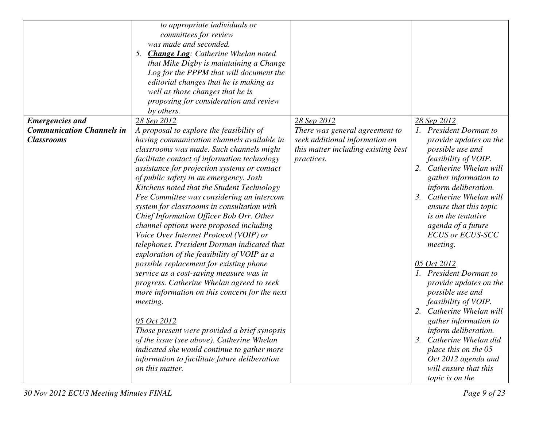|                                  | to appropriate individuals or                   |                                     |                             |
|----------------------------------|-------------------------------------------------|-------------------------------------|-----------------------------|
|                                  | committees for review                           |                                     |                             |
|                                  | was made and seconded.                          |                                     |                             |
|                                  | <b>Change Log:</b> Catherine Whelan noted<br>5. |                                     |                             |
|                                  |                                                 |                                     |                             |
|                                  | that Mike Digby is maintaining a Change         |                                     |                             |
|                                  | Log for the PPPM that will document the         |                                     |                             |
|                                  | editorial changes that he is making as          |                                     |                             |
|                                  | well as those changes that he is                |                                     |                             |
|                                  | proposing for consideration and review          |                                     |                             |
|                                  | by others.                                      |                                     |                             |
| <b>Emergencies</b> and           | 28 Sep 2012                                     | 28 Sep 2012                         | 28 Sep 2012                 |
| <b>Communication Channels in</b> | A proposal to explore the feasibility of        | There was general agreement to      | 1. President Dorman to      |
| <b>Classrooms</b>                | having communication channels available in      | seek additional information on      | provide updates on the      |
|                                  | classrooms was made. Such channels might        | this matter including existing best | possible use and            |
|                                  | facilitate contact of information technology    | practices.                          | feasibility of VOIP.        |
|                                  | assistance for projection systems or contact    |                                     | Catherine Whelan will       |
|                                  | of public safety in an emergency. Josh          |                                     | gather information to       |
|                                  | Kitchens noted that the Student Technology      |                                     | inform deliberation.        |
|                                  | Fee Committee was considering an intercom       |                                     | Catherine Whelan will<br>3. |
|                                  | system for classrooms in consultation with      |                                     | ensure that this topic      |
|                                  | Chief Information Officer Bob Orr. Other        |                                     | <i>is on the tentative</i>  |
|                                  | channel options were proposed including         |                                     | agenda of a future          |
|                                  | Voice Over Internet Protocol (VOIP) or          |                                     | <b>ECUS or ECUS-SCC</b>     |
|                                  | telephones. President Dorman indicated that     |                                     | <i>meeting.</i>             |
|                                  | exploration of the feasibility of VOIP as a     |                                     |                             |
|                                  | possible replacement for existing phone         |                                     | 05 Oct 2012                 |
|                                  | service as a cost-saving measure was in         |                                     | 1. President Dorman to      |
|                                  | progress. Catherine Whelan agreed to seek       |                                     | provide updates on the      |
|                                  | more information on this concern for the next   |                                     | possible use and            |
|                                  | meeting.                                        |                                     | feasibility of VOIP.        |
|                                  |                                                 |                                     | 2. Catherine Whelan will    |
|                                  | 05 Oct 2012                                     |                                     | gather information to       |
|                                  | Those present were provided a brief synopsis    |                                     | inform deliberation.        |
|                                  | of the issue (see above). Catherine Whelan      |                                     | 3. Catherine Whelan did     |
|                                  | indicated she would continue to gather more     |                                     | place this on the 05        |
|                                  | information to facilitate future deliberation   |                                     | Oct 2012 agenda and         |
|                                  | on this matter.                                 |                                     | will ensure that this       |
|                                  |                                                 |                                     | topic is on the             |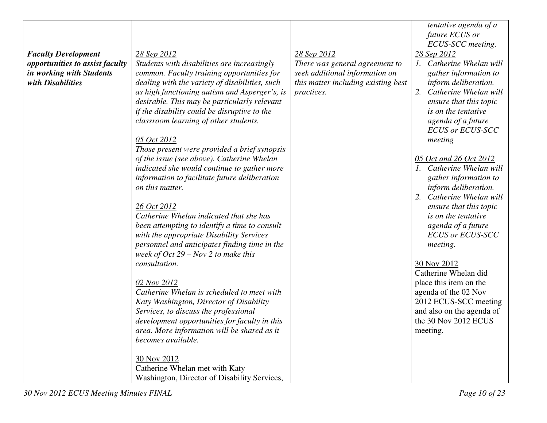|                                 |                                                |                                     | tentative agenda of a       |
|---------------------------------|------------------------------------------------|-------------------------------------|-----------------------------|
|                                 |                                                |                                     | future ECUS or              |
|                                 |                                                |                                     | ECUS-SCC meeting.           |
| <b>Faculty Development</b>      | 28 Sep 2012                                    | 28 Sep 2012                         | 28 Sep 2012                 |
| opportunities to assist faculty | Students with disabilities are increasingly    | There was general agreement to      | 1. Catherine Whelan will    |
| in working with Students        | common. Faculty training opportunities for     | seek additional information on      | gather information to       |
| with Disabilities               | dealing with the variety of disabilities, such | this matter including existing best | inform deliberation.        |
|                                 | as high functioning autism and Asperger's, is  | practices.                          | Catherine Whelan will<br>2. |
|                                 | desirable. This may be particularly relevant   |                                     | ensure that this topic      |
|                                 | if the disability could be disruptive to the   |                                     | <i>is on the tentative</i>  |
|                                 | classroom learning of other students.          |                                     | agenda of a future          |
|                                 |                                                |                                     | <b>ECUS or ECUS-SCC</b>     |
|                                 |                                                |                                     |                             |
|                                 | 05 Oct 2012                                    |                                     | meeting                     |
|                                 | Those present were provided a brief synopsis   |                                     |                             |
|                                 | of the issue (see above). Catherine Whelan     |                                     | 05 Oct and 26 Oct 2012      |
|                                 | indicated she would continue to gather more    |                                     | 1. Catherine Whelan will    |
|                                 | information to facilitate future deliberation  |                                     | gather information to       |
|                                 | on this matter.                                |                                     | inform deliberation.        |
|                                 |                                                |                                     | Catherine Whelan will<br>2. |
|                                 | 26 Oct 2012                                    |                                     | ensure that this topic      |
|                                 | Catherine Whelan indicated that she has        |                                     | <i>is on the tentative</i>  |
|                                 | been attempting to identify a time to consult  |                                     | agenda of a future          |
|                                 | with the appropriate Disability Services       |                                     | <b>ECUS or ECUS-SCC</b>     |
|                                 | personnel and anticipates finding time in the  |                                     | meeting.                    |
|                                 | week of $Oct$ 29 – Nov 2 to make this          |                                     |                             |
|                                 | consultation.                                  |                                     | 30 Nov 2012                 |
|                                 |                                                |                                     | Catherine Whelan did        |
|                                 | 02 Nov 2012                                    |                                     | place this item on the      |
|                                 | Catherine Whelan is scheduled to meet with     |                                     | agenda of the 02 Nov        |
|                                 | Katy Washington, Director of Disability        |                                     | 2012 ECUS-SCC meeting       |
|                                 | Services, to discuss the professional          |                                     | and also on the agenda of   |
|                                 | development opportunities for faculty in this  |                                     | the 30 Nov 2012 ECUS        |
|                                 | area. More information will be shared as it    |                                     | meeting.                    |
|                                 | becomes available.                             |                                     |                             |
|                                 | 30 Nov 2012                                    |                                     |                             |
|                                 | Catherine Whelan met with Katy                 |                                     |                             |
|                                 | Washington, Director of Disability Services,   |                                     |                             |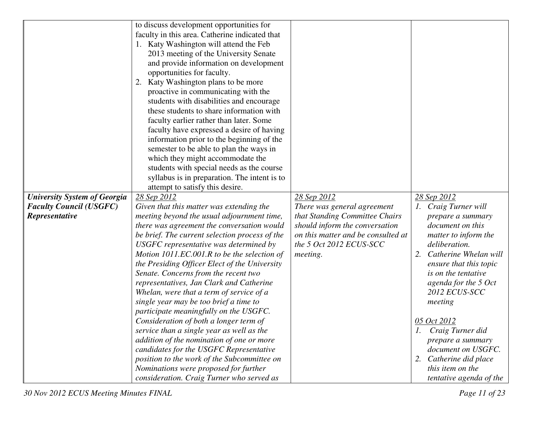|                                     | to discuss development opportunities for       |                                    |                             |
|-------------------------------------|------------------------------------------------|------------------------------------|-----------------------------|
|                                     | faculty in this area. Catherine indicated that |                                    |                             |
|                                     | 1. Katy Washington will attend the Feb         |                                    |                             |
|                                     | 2013 meeting of the University Senate          |                                    |                             |
|                                     | and provide information on development         |                                    |                             |
|                                     | opportunities for faculty.                     |                                    |                             |
|                                     | Katy Washington plans to be more               |                                    |                             |
|                                     | proactive in communicating with the            |                                    |                             |
|                                     | students with disabilities and encourage       |                                    |                             |
|                                     |                                                |                                    |                             |
|                                     | these students to share information with       |                                    |                             |
|                                     | faculty earlier rather than later. Some        |                                    |                             |
|                                     | faculty have expressed a desire of having      |                                    |                             |
|                                     | information prior to the beginning of the      |                                    |                             |
|                                     | semester to be able to plan the ways in        |                                    |                             |
|                                     | which they might accommodate the               |                                    |                             |
|                                     | students with special needs as the course      |                                    |                             |
|                                     | syllabus is in preparation. The intent is to   |                                    |                             |
|                                     | attempt to satisfy this desire.                |                                    |                             |
| <b>University System of Georgia</b> | 28 Sep 2012                                    | 28 Sep 2012                        | 28 Sep 2012                 |
| <b>Faculty Council (USGFC)</b>      | Given that this matter was extending the       | There was general agreement        | 1. Craig Turner will        |
| Representative                      | meeting beyond the usual adjournment time,     | that Standing Committee Chairs     | prepare a summary           |
|                                     | there was agreement the conversation would     | should inform the conversation     | document on this            |
|                                     | be brief. The current selection process of the | on this matter and be consulted at | matter to inform the        |
|                                     | USGFC representative was determined by         | the 5 Oct 2012 ECUS-SCC            | deliberation.               |
|                                     | Motion 1011.EC.001.R to be the selection of    | meeting.                           | Catherine Whelan will<br>2. |
|                                     | the Presiding Officer Elect of the University  |                                    | ensure that this topic      |
|                                     | Senate. Concerns from the recent two           |                                    | is on the tentative         |
|                                     | representatives, Jan Clark and Catherine       |                                    | agenda for the 5 Oct        |
|                                     | Whelan, were that a term of service of a       |                                    | 2012 ECUS-SCC               |
|                                     | single year may be too brief a time to         |                                    | meeting                     |
|                                     | participate meaningfully on the USGFC.         |                                    |                             |
|                                     | Consideration of both a longer term of         |                                    | <u>05 Oct 2012</u>          |
|                                     | service than a single year as well as the      |                                    | 1. Craig Turner did         |
|                                     | addition of the nomination of one or more      |                                    | prepare a summary           |
|                                     | candidates for the USGFC Representative        |                                    | document on USGFC.          |
|                                     | position to the work of the Subcommittee on    |                                    | 2. Catherine did place      |
|                                     | Nominations were proposed for further          |                                    | this item on the            |
|                                     |                                                |                                    | tentative agenda of the     |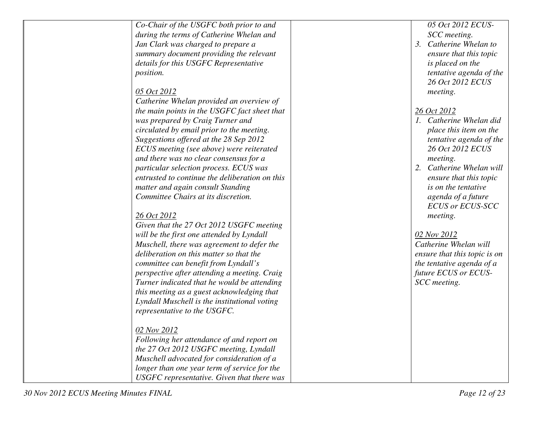| Co-Chair of the USGFC both prior to and        | 05 Oct 2012 ECUS-            |
|------------------------------------------------|------------------------------|
| during the terms of Catherine Whelan and       | SCC meeting.                 |
| Jan Clark was charged to prepare a             | 3. Catherine Whelan to       |
| summary document providing the relevant        | ensure that this topic       |
| details for this USGFC Representative          | is placed on the             |
| <i>position.</i>                               | tentative agenda of the      |
|                                                | 26 Oct 2012 ECUS             |
| 05 Oct 2012                                    | meeting.                     |
| Catherine Whelan provided an overview of       |                              |
| the main points in the USGFC fact sheet that   | 26 Oct 2012                  |
| was prepared by Craig Turner and               | 1. Catherine Whelan did      |
| circulated by email prior to the meeting.      | place this item on the       |
| Suggestions offered at the 28 Sep 2012         | tentative agenda of the      |
| ECUS meeting (see above) were reiterated       | 26 Oct 2012 ECUS             |
| and there was no clear consensus for a         | meeting.                     |
| particular selection process. ECUS was         | 2. Catherine Whelan will     |
| entrusted to continue the deliberation on this | ensure that this topic       |
| matter and again consult Standing              | <i>is on the tentative</i>   |
| Committee Chairs at its discretion.            | agenda of a future           |
|                                                | <b>ECUS or ECUS-SCC</b>      |
| 26 Oct 2012                                    | meeting.                     |
| Given that the 27 Oct 2012 USGFC meeting       |                              |
| will be the first one attended by Lyndall      | 02 Nov 2012                  |
| Muschell, there was agreement to defer the     | Catherine Whelan will        |
| deliberation on this matter so that the        | ensure that this topic is on |
| committee can benefit from Lyndall's           | the tentative agenda of a    |
| perspective after attending a meeting. Craig   | future ECUS or ECUS-         |
| Turner indicated that he would be attending    | SCC meeting.                 |
| this meeting as a guest acknowledging that     |                              |
| Lyndall Muschell is the institutional voting   |                              |
| representative to the USGFC.                   |                              |
|                                                |                              |
| 02 Nov 2012                                    |                              |
| Following her attendance of and report on      |                              |
| the 27 Oct 2012 USGFC meeting, Lyndall         |                              |
| Muschell advocated for consideration of a      |                              |
| longer than one year term of service for the   |                              |
| USGFC representative. Given that there was     |                              |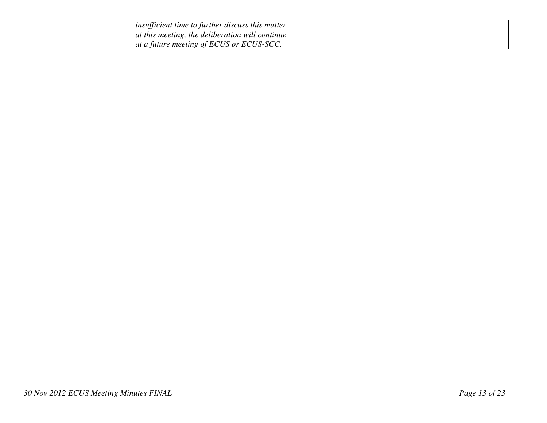| <i>insufficient time to further discuss this matter</i> |  |
|---------------------------------------------------------|--|
| at this meeting, the deliberation will continue         |  |
| $\perp$ at a future meeting of ECUS or ECUS-SCC.        |  |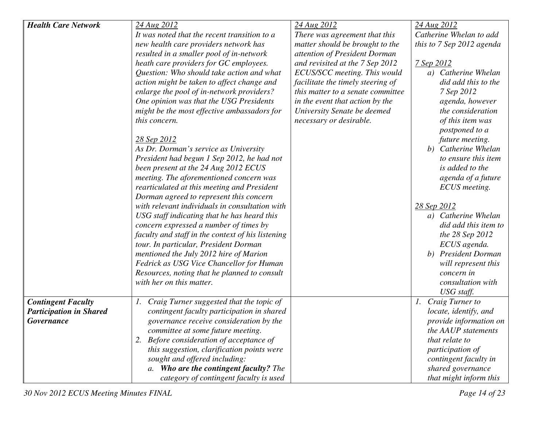| <b>Health Care Network</b>     | 24 Aug 2012                                       | 24 Aug 2012                       | 24 Aug 2012               |
|--------------------------------|---------------------------------------------------|-----------------------------------|---------------------------|
|                                | It was noted that the recent transition to a      | There was agreement that this     | Catherine Whelan to add   |
|                                | new health care providers network has             | matter should be brought to the   | this to 7 Sep 2012 agenda |
|                                | resulted in a smaller pool of in-network          | attention of President Dorman     |                           |
|                                | heath care providers for GC employees.            | and revisited at the 7 Sep 2012   | 7 Sep 2012                |
|                                | Question: Who should take action and what         | ECUS/SCC meeting. This would      | a) Catherine Whelan       |
|                                | action might be taken to affect change and        | facilitate the timely steering of | did add this to the       |
|                                | enlarge the pool of in-network providers?         | this matter to a senate committee | 7 Sep 2012                |
|                                | One opinion was that the USG Presidents           | in the event that action by the   | agenda, however           |
|                                | might be the most effective ambassadors for       | University Senate be deemed       | the consideration         |
|                                | this concern.                                     | necessary or desirable.           | of this item was          |
|                                |                                                   |                                   | postponed to a            |
|                                | 28 Sep 2012                                       |                                   | future meeting.           |
|                                | As Dr. Dorman's service as University             |                                   | b) Catherine Whelan       |
|                                | President had begun 1 Sep 2012, he had not        |                                   | to ensure this item       |
|                                | been present at the 24 Aug 2012 ECUS              |                                   | is added to the           |
|                                | meeting. The aforementioned concern was           |                                   | agenda of a future        |
|                                | rearticulated at this meeting and President       |                                   | ECUS meeting.             |
|                                | Dorman agreed to represent this concern           |                                   |                           |
|                                | with relevant individuals in consultation with    |                                   | 28 Sep 2012               |
|                                | USG staff indicating that he has heard this       |                                   | a) Catherine Whelan       |
|                                | concern expressed a number of times by            |                                   | did add this item to      |
|                                | faculty and staff in the context of his listening |                                   | the 28 Sep 2012           |
|                                | tour. In particular, President Dorman             |                                   | ECUS agenda.              |
|                                | mentioned the July 2012 hire of Marion            |                                   | b) President Dorman       |
|                                | Fedrick as USG Vice Chancellor for Human          |                                   | will represent this       |
|                                | Resources, noting that he planned to consult      |                                   | concern in                |
|                                | with her on this matter.                          |                                   | consultation with         |
|                                |                                                   |                                   | USG staff.                |
| <b>Contingent Faculty</b>      | 1. Craig Turner suggested that the topic of       |                                   | Craig Turner to<br>1.     |
| <b>Participation in Shared</b> | contingent faculty participation in shared        |                                   | locate, identify, and     |
| Governance                     | governance receive consideration by the           |                                   | provide information on    |
|                                | committee at some future meeting.                 |                                   | the AAUP statements       |
|                                | 2. Before consideration of acceptance of          |                                   | that relate to            |
|                                | this suggestion, clarification points were        |                                   | participation of          |
|                                | sought and offered including:                     |                                   | contingent faculty in     |
|                                | a. Who are the contingent faculty? The            |                                   | shared governance         |
|                                | category of contingent faculty is used            |                                   | that might inform this    |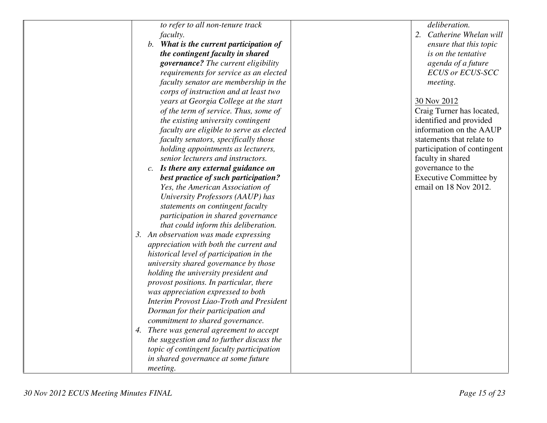| to refer to all non-tenure track          | deliberation.                 |
|-------------------------------------------|-------------------------------|
| <i>faculty.</i>                           | 2. Catherine Whelan will      |
| b. What is the current participation of   | ensure that this topic        |
| the contingent faculty in shared          | is on the tentative           |
| governance? The current eligibility       | agenda of a future            |
| requirements for service as an elected    | <b>ECUS or ECUS-SCC</b>       |
| faculty senator are membership in the     | meeting.                      |
| corps of instruction and at least two     |                               |
| years at Georgia College at the start     | 30 Nov 2012                   |
| of the term of service. Thus, some of     | Craig Turner has located,     |
| the existing university contingent        | identified and provided       |
| faculty are eligible to serve as elected  | information on the AAUP       |
| faculty senators, specifically those      | statements that relate to     |
| holding appointments as lecturers,        | participation of contingent   |
| senior lecturers and instructors.         | faculty in shared             |
| c. Is there any external guidance on      | governance to the             |
| best practice of such participation?      | <b>Executive Committee by</b> |
| Yes, the American Association of          | email on 18 Nov 2012.         |
| University Professors (AAUP) has          |                               |
| statements on contingent faculty          |                               |
| participation in shared governance        |                               |
| that could inform this deliberation.      |                               |
| 3. An observation was made expressing     |                               |
| appreciation with both the current and    |                               |
| historical level of participation in the  |                               |
| university shared governance by those     |                               |
| holding the university president and      |                               |
| provost positions. In particular, there   |                               |
| was appreciation expressed to both        |                               |
| Interim Provost Liao-Troth and President  |                               |
| Dorman for their participation and        |                               |
| commitment to shared governance.          |                               |
| 4. There was general agreement to accept  |                               |
| the suggestion and to further discuss the |                               |
| topic of contingent faculty participation |                               |
| in shared governance at some future       |                               |
| meeting.                                  |                               |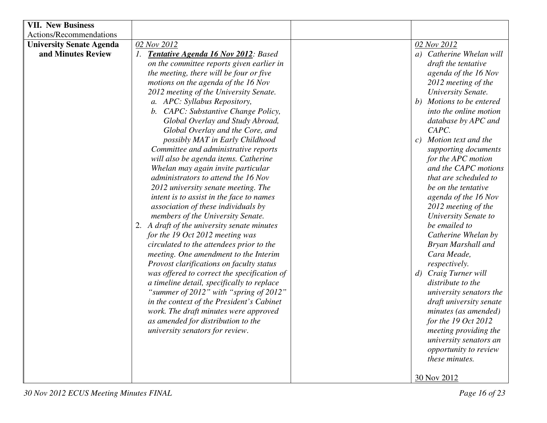| <b>VII. New Business</b>        |                                             |                                        |
|---------------------------------|---------------------------------------------|----------------------------------------|
| Actions/Recommendations         |                                             |                                        |
| <b>University Senate Agenda</b> | 02 Nov 2012                                 | 02 Nov 2012                            |
| and Minutes Review              | 1. Tentative Agenda 16 Nov 2012: Based      | a) Catherine Whelan will               |
|                                 | on the committee reports given earlier in   | draft the tentative                    |
|                                 | the meeting, there will be four or five     | agenda of the 16 Nov                   |
|                                 | motions on the agenda of the 16 Nov         | 2012 meeting of the                    |
|                                 | 2012 meeting of the University Senate.      | University Senate.                     |
|                                 | a. APC: Syllabus Repository,                | b) Motions to be entered               |
|                                 | b. CAPC: Substantive Change Policy,         | into the online motion                 |
|                                 | Global Overlay and Study Abroad,            | database by APC and                    |
|                                 | Global Overlay and the Core, and            | CAPC.                                  |
|                                 | possibly MAT in Early Childhood             | Motion text and the<br>c)              |
|                                 | Committee and administrative reports        | supporting documents                   |
|                                 | will also be agenda items. Catherine        | for the APC motion                     |
|                                 | Whelan may again invite particular          | and the CAPC motions                   |
|                                 | administrators to attend the 16 Nov         | that are scheduled to                  |
|                                 | 2012 university senate meeting. The         | be on the tentative                    |
|                                 | intent is to assist in the face to names    | agenda of the 16 Nov                   |
|                                 | association of these individuals by         | 2012 meeting of the                    |
|                                 | members of the University Senate.           | University Senate to                   |
|                                 | 2. A draft of the university senate minutes | be emailed to                          |
|                                 | for the 19 Oct 2012 meeting was             | Catherine Whelan by                    |
|                                 | circulated to the attendees prior to the    | Bryan Marshall and                     |
|                                 | meeting. One amendment to the Interim       | Cara Meade,                            |
|                                 | Provost clarifications on faculty status    | respectively.                          |
|                                 | was offered to correct the specification of | Craig Turner will<br>$\left( d\right)$ |
|                                 | a timeline detail, specifically to replace  | distribute to the                      |
|                                 | "summer of 2012" with "spring of 2012"      | university senators the                |
|                                 | in the context of the President's Cabinet   | draft university senate                |
|                                 | work. The draft minutes were approved       | minutes (as amended)                   |
|                                 | as amended for distribution to the          | for the $19$ Oct $2012$                |
|                                 | university senators for review.             | meeting providing the                  |
|                                 |                                             | university senators an                 |
|                                 |                                             | opportunity to review                  |
|                                 |                                             | these minutes.                         |
|                                 |                                             |                                        |
|                                 |                                             | 30 Nov 2012                            |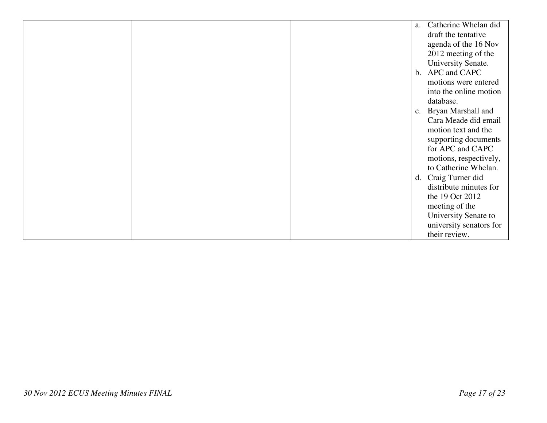|  | Catherine Whelan did<br>a. |
|--|----------------------------|
|  | draft the tentative        |
|  | agenda of the 16 Nov       |
|  | 2012 meeting of the        |
|  | University Senate.         |
|  | b. APC and CAPC            |
|  | motions were entered       |
|  | into the online motion     |
|  | database.                  |
|  | Bryan Marshall and<br>c.   |
|  | Cara Meade did email       |
|  | motion text and the        |
|  | supporting documents       |
|  | for APC and CAPC           |
|  | motions, respectively,     |
|  | to Catherine Whelan.       |
|  | d. Craig Turner did        |
|  | distribute minutes for     |
|  | the 19 Oct 2012            |
|  | meeting of the             |
|  | University Senate to       |
|  | university senators for    |
|  | their review.              |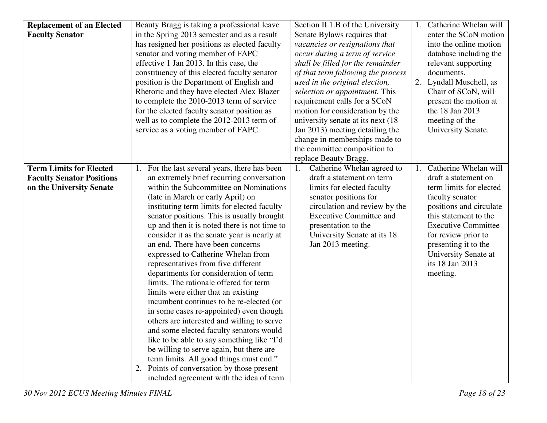| <b>Replacement of an Elected</b><br>Section II.1.B of the University<br>Beauty Bragg is taking a professional leave                                                     | Catherine Whelan will                           |
|-------------------------------------------------------------------------------------------------------------------------------------------------------------------------|-------------------------------------------------|
| <b>Faculty Senator</b><br>in the Spring 2013 semester and as a result<br>Senate Bylaws requires that                                                                    | enter the SCoN motion<br>into the online motion |
| has resigned her positions as elected faculty<br>vacancies or resignations that                                                                                         |                                                 |
| senator and voting member of FAPC<br>occur during a term of service                                                                                                     | database including the                          |
| effective 1 Jan 2013. In this case, the<br>shall be filled for the remainder<br>documents.                                                                              | relevant supporting                             |
| constituency of this elected faculty senator<br>of that term following the process<br>position is the Department of English and<br>used in the original election,<br>2. | Lyndall Muschell, as                            |
| Rhetoric and they have elected Alex Blazer<br>selection or appointment. This                                                                                            | Chair of SCoN, will                             |
| to complete the 2010-2013 term of service<br>requirement calls for a SCoN                                                                                               | present the motion at                           |
| motion for consideration by the<br>the 18 Jan 2013<br>for the elected faculty senator position as                                                                       |                                                 |
| well as to complete the 2012-2013 term of<br>university senate at its next (18)<br>meeting of the                                                                       |                                                 |
| service as a voting member of FAPC.<br>Jan 2013) meeting detailing the                                                                                                  | University Senate.                              |
| change in memberships made to                                                                                                                                           |                                                 |
| the committee composition to                                                                                                                                            |                                                 |
| replace Beauty Bragg.                                                                                                                                                   |                                                 |
| <b>Term Limits for Elected</b><br>1. For the last several years, there has been<br>Catherine Whelan agreed to<br>1.                                                     | Catherine Whelan will                           |
| <b>Faculty Senator Positions</b><br>an extremely brief recurring conversation<br>draft a statement on term                                                              | draft a statement on                            |
| within the Subcommittee on Nominations<br>limits for elected faculty<br>on the University Senate                                                                        | term limits for elected                         |
| senator positions for<br>(late in March or early April) on<br>faculty senator                                                                                           |                                                 |
| circulation and review by the<br>instituting term limits for elected faculty                                                                                            | positions and circulate                         |
| senator positions. This is usually brought<br><b>Executive Committee and</b>                                                                                            | this statement to the                           |
| up and then it is noted there is not time to<br>presentation to the                                                                                                     | <b>Executive Committee</b>                      |
| University Senate at its 18<br>consider it as the senate year is nearly at                                                                                              | for review prior to                             |
| an end. There have been concerns<br>Jan 2013 meeting.                                                                                                                   | presenting it to the                            |
| expressed to Catherine Whelan from                                                                                                                                      | University Senate at                            |
| its 18 Jan 2013<br>representatives from five different                                                                                                                  |                                                 |
| departments for consideration of term<br>meeting.                                                                                                                       |                                                 |
| limits. The rationale offered for term                                                                                                                                  |                                                 |
| limits were either that an existing                                                                                                                                     |                                                 |
| incumbent continues to be re-elected (or                                                                                                                                |                                                 |
| in some cases re-appointed) even though                                                                                                                                 |                                                 |
| others are interested and willing to serve                                                                                                                              |                                                 |
| and some elected faculty senators would                                                                                                                                 |                                                 |
| like to be able to say something like "I'd"                                                                                                                             |                                                 |
| be willing to serve again, but there are                                                                                                                                |                                                 |
| term limits. All good things must end."<br>2. Points of conversation by those present                                                                                   |                                                 |
| included agreement with the idea of term                                                                                                                                |                                                 |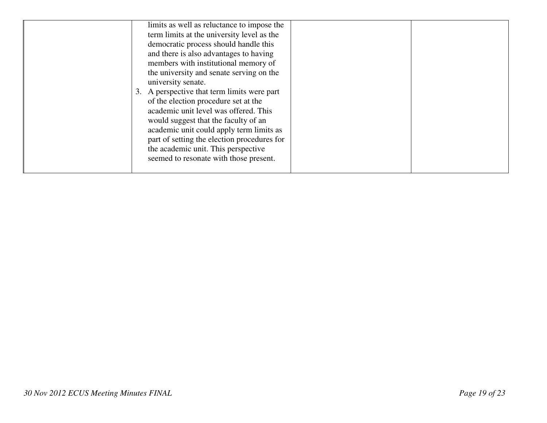| limits as well as reluctance to impose the<br>term limits at the university level as the<br>democratic process should handle this<br>and there is also advantages to having<br>members with institutional memory of<br>the university and senate serving on the<br>university senate.<br>3. A perspective that term limits were part<br>of the election procedure set at the<br>academic unit level was offered. This<br>would suggest that the faculty of an<br>academic unit could apply term limits as<br>part of setting the election procedures for<br>the academic unit. This perspective |  |
|-------------------------------------------------------------------------------------------------------------------------------------------------------------------------------------------------------------------------------------------------------------------------------------------------------------------------------------------------------------------------------------------------------------------------------------------------------------------------------------------------------------------------------------------------------------------------------------------------|--|
| seemed to resonate with those present.                                                                                                                                                                                                                                                                                                                                                                                                                                                                                                                                                          |  |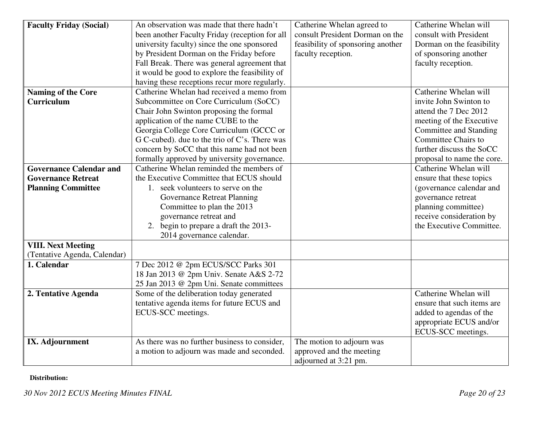| <b>Faculty Friday (Social)</b> | An observation was made that there hadn't      | Catherine Whelan agreed to        | Catherine Whelan will      |
|--------------------------------|------------------------------------------------|-----------------------------------|----------------------------|
|                                | been another Faculty Friday (reception for all | consult President Dorman on the   | consult with President     |
|                                | university faculty) since the one sponsored    | feasibility of sponsoring another | Dorman on the feasibility  |
|                                | by President Dorman on the Friday before       | faculty reception.                | of sponsoring another      |
|                                | Fall Break. There was general agreement that   |                                   | faculty reception.         |
|                                | it would be good to explore the feasibility of |                                   |                            |
|                                | having these receptions recur more regularly.  |                                   |                            |
| <b>Naming of the Core</b>      | Catherine Whelan had received a memo from      |                                   | Catherine Whelan will      |
| Curriculum                     | Subcommittee on Core Curriculum (SoCC)         |                                   | invite John Swinton to     |
|                                | Chair John Swinton proposing the formal        |                                   | attend the 7 Dec 2012      |
|                                | application of the name CUBE to the            |                                   | meeting of the Executive   |
|                                | Georgia College Core Curriculum (GCCC or       |                                   | Committee and Standing     |
|                                | G C-cubed). due to the trio of C's. There was  |                                   | <b>Committee Chairs to</b> |
|                                | concern by SoCC that this name had not been    |                                   | further discuss the SoCC   |
|                                | formally approved by university governance.    |                                   | proposal to name the core. |
| <b>Governance Calendar and</b> | Catherine Whelan reminded the members of       |                                   | Catherine Whelan will      |
| <b>Governance Retreat</b>      | the Executive Committee that ECUS should       |                                   | ensure that these topics   |
| <b>Planning Committee</b>      | 1. seek volunteers to serve on the             |                                   | (governance calendar and   |
|                                | <b>Governance Retreat Planning</b>             |                                   | governance retreat         |
|                                | Committee to plan the 2013                     |                                   | planning committee)        |
|                                | governance retreat and                         |                                   | receive consideration by   |
|                                | 2. begin to prepare a draft the 2013-          |                                   | the Executive Committee.   |
|                                | 2014 governance calendar.                      |                                   |                            |
| <b>VIII. Next Meeting</b>      |                                                |                                   |                            |
| (Tentative Agenda, Calendar)   |                                                |                                   |                            |
| 1. Calendar                    | 7 Dec 2012 @ 2pm ECUS/SCC Parks 301            |                                   |                            |
|                                | 18 Jan 2013 @ 2pm Univ. Senate A&S 2-72        |                                   |                            |
|                                | 25 Jan 2013 @ 2pm Uni. Senate committees       |                                   |                            |
| 2. Tentative Agenda            | Some of the deliberation today generated       |                                   | Catherine Whelan will      |
|                                | tentative agenda items for future ECUS and     |                                   | ensure that such items are |
|                                | ECUS-SCC meetings.                             |                                   | added to agendas of the    |
|                                |                                                |                                   | appropriate ECUS and/or    |
|                                |                                                |                                   | ECUS-SCC meetings.         |
| IX. Adjournment                | As there was no further business to consider,  | The motion to adjourn was         |                            |
|                                | a motion to adjourn was made and seconded.     | approved and the meeting          |                            |
|                                |                                                | adjourned at 3:21 pm.             |                            |

**Distribution:**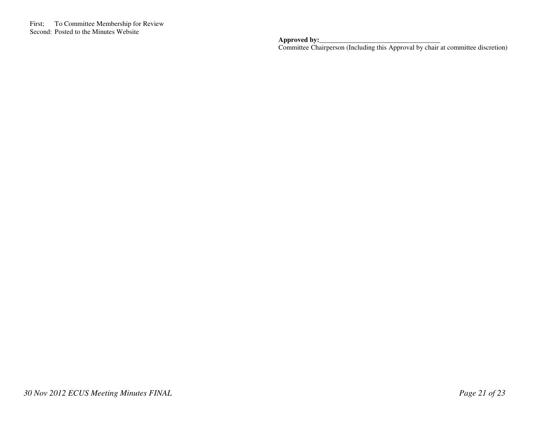**Approved by:**<br> **Committee Chairperson (Including this Approval by chair at committee discretion)**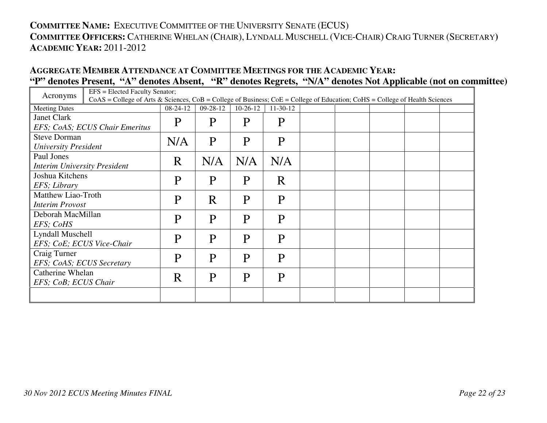## **COMMITTEE NAME:** <sup>E</sup>XECUTIVE COMMITTEE OF THE UNIVERSITY SENATE (ECUS) **COMMITTEE OFFICERS:** <sup>C</sup>ATHERINE WHELAN (CHAIR), <sup>L</sup>YNDALL MUSCHELL (VICE-CHAIR) <sup>C</sup>RAIG TURNER (SECRETARY**) ACADEMIC YEAR:** 2011-2012

#### **AGGREGATE MEMBER ATTENDANCE AT COMMITTEE MEETINGS FOR THE ACADEMIC YEAR: "P" denotes Present, "A" denotes Absent, "R" denotes Regrets, "N/A" denotes Not Applicable (not on committee)**

| EFS = Elected Faculty Senator;<br>Acronyms |                                                                                                                                     |            |                |            |            |  |  |  |
|--------------------------------------------|-------------------------------------------------------------------------------------------------------------------------------------|------------|----------------|------------|------------|--|--|--|
|                                            | $CoAS = College$ of Arts & Sciences, $CoB = College$ of Business; $CoE = College$ of Education; $CoHS = College$ of Health Sciences |            |                |            |            |  |  |  |
| <b>Meeting Dates</b>                       |                                                                                                                                     | $08-24-12$ | $09 - 28 - 12$ | $10-26-12$ | $11-30-12$ |  |  |  |
| <b>Janet Clark</b>                         |                                                                                                                                     | P          | P              | P          | P          |  |  |  |
|                                            | EFS; CoAS; ECUS Chair Emeritus                                                                                                      |            |                |            |            |  |  |  |
| <b>Steve Dorman</b>                        |                                                                                                                                     | N/A        | P              | P          | P          |  |  |  |
| <b>University President</b>                |                                                                                                                                     |            |                |            |            |  |  |  |
| Paul Jones                                 |                                                                                                                                     | R          | N/A            | N/A        | N/A        |  |  |  |
| <b>Interim University President</b>        |                                                                                                                                     |            |                |            |            |  |  |  |
| Joshua Kitchens                            |                                                                                                                                     | P          | P              | P          | R          |  |  |  |
| EFS; Library                               |                                                                                                                                     |            |                |            |            |  |  |  |
| Matthew Liao-Troth                         |                                                                                                                                     | P          | R              | P          | P          |  |  |  |
| <b>Interim Provost</b>                     |                                                                                                                                     |            |                |            |            |  |  |  |
| Deborah MacMillan                          |                                                                                                                                     | P          | P              | P          | P          |  |  |  |
| EFS; CoHS                                  |                                                                                                                                     |            |                |            |            |  |  |  |
| Lyndall Muschell                           |                                                                                                                                     | P          | P              | P          | P          |  |  |  |
|                                            | EFS; CoE; ECUS Vice-Chair                                                                                                           |            |                |            |            |  |  |  |
| Craig Turner                               |                                                                                                                                     | P          | P              | P          | P          |  |  |  |
| EFS; CoAS; ECUS Secretary                  |                                                                                                                                     |            |                |            |            |  |  |  |
| Catherine Whelan<br>R                      |                                                                                                                                     | P          | P              | P          |            |  |  |  |
| EFS; CoB; ECUS Chair                       |                                                                                                                                     |            |                |            |            |  |  |  |
|                                            |                                                                                                                                     |            |                |            |            |  |  |  |
|                                            |                                                                                                                                     |            |                |            |            |  |  |  |